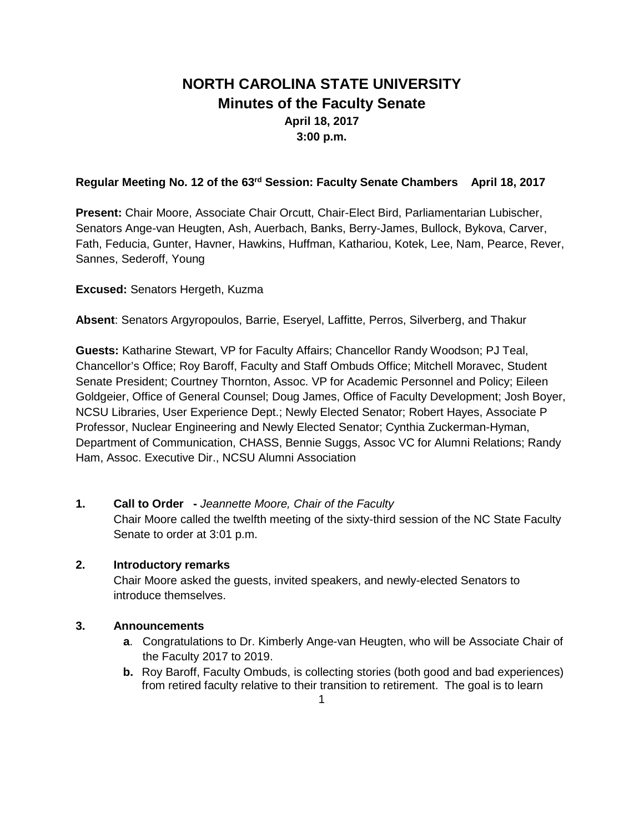# **NORTH CAROLINA STATE UNIVERSITY Minutes of the Faculty Senate April 18, 2017 3:00 p.m.**

## **Regular Meeting No. 12 of the 63rd Session: Faculty Senate Chambers April 18, 2017**

**Present:** Chair Moore, Associate Chair Orcutt, Chair-Elect Bird, Parliamentarian Lubischer, Senators Ange-van Heugten, Ash, Auerbach, Banks, Berry-James, Bullock, Bykova, Carver, Fath, Feducia, Gunter, Havner, Hawkins, Huffman, Kathariou, Kotek, Lee, Nam, Pearce, Rever, Sannes, Sederoff, Young

**Excused:** Senators Hergeth, Kuzma

**Absent**: Senators Argyropoulos, Barrie, Eseryel, Laffitte, Perros, Silverberg, and Thakur

**Guests:** Katharine Stewart, VP for Faculty Affairs; Chancellor Randy Woodson; PJ Teal, Chancellor's Office; Roy Baroff, Faculty and Staff Ombuds Office; Mitchell Moravec, Student Senate President; Courtney Thornton, Assoc. VP for Academic Personnel and Policy; Eileen Goldgeier, Office of General Counsel; Doug James, Office of Faculty Development; Josh Boyer, NCSU Libraries, User Experience Dept.; Newly Elected Senator; Robert Hayes, Associate P Professor, Nuclear Engineering and Newly Elected Senator; Cynthia Zuckerman-Hyman, Department of Communication, CHASS, Bennie Suggs, Assoc VC for Alumni Relations; Randy Ham, Assoc. Executive Dir., NCSU Alumni Association

**1. Call to Order -** *Jeannette Moore, Chair of the Faculty* Chair Moore called the twelfth meeting of the sixty-third session of the NC State Faculty Senate to order at 3:01 p.m.

#### **2. Introductory remarks**

Chair Moore asked the guests, invited speakers, and newly-elected Senators to introduce themselves.

#### **3. Announcements**

- **a**. Congratulations to Dr. Kimberly Ange-van Heugten, who will be Associate Chair of the Faculty 2017 to 2019.
- **b.** Roy Baroff, Faculty Ombuds, is collecting stories (both good and bad experiences) from retired faculty relative to their transition to retirement. The goal is to learn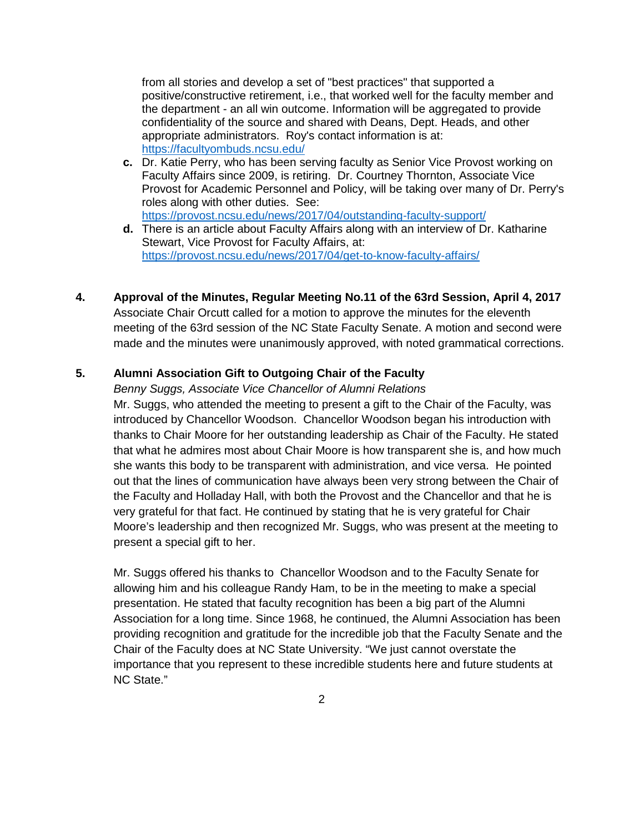from all stories and develop a set of "best practices" that supported a positive/constructive retirement, i.e., that worked well for the faculty member and the department - an all win outcome. Information will be aggregated to provide confidentiality of the source and shared with Deans, Dept. Heads, and other appropriate administrators. Roy's contact information is at: <https://facultyombuds.ncsu.edu/>

- **c.** Dr. Katie Perry, who has been serving faculty as Senior Vice Provost working on Faculty Affairs since 2009, is retiring. Dr. Courtney Thornton, Associate Vice Provost for Academic Personnel and Policy, will be taking over many of Dr. Perry's roles along with other duties. See: <https://provost.ncsu.edu/news/2017/04/outstanding-faculty-support/>
- **d.** There is an article about Faculty Affairs along with an interview of Dr. Katharine Stewart, Vice Provost for Faculty Affairs, at: <https://provost.ncsu.edu/news/2017/04/get-to-know-faculty-affairs/>
- **4. Approval of the Minutes, Regular Meeting No.11 of the 63rd Session, April 4, 2017** Associate Chair Orcutt called for a motion to approve the minutes for the eleventh meeting of the 63rd session of the NC State Faculty Senate. A motion and second were made and the minutes were unanimously approved, with noted grammatical corrections.

## **5. Alumni Association Gift to Outgoing Chair of the Faculty**

### *Benny Suggs, Associate Vice Chancellor of Alumni Relations*

Mr. Suggs, who attended the meeting to present a gift to the Chair of the Faculty, was introduced by Chancellor Woodson. Chancellor Woodson began his introduction with thanks to Chair Moore for her outstanding leadership as Chair of the Faculty. He stated that what he admires most about Chair Moore is how transparent she is, and how much she wants this body to be transparent with administration, and vice versa. He pointed out that the lines of communication have always been very strong between the Chair of the Faculty and Holladay Hall, with both the Provost and the Chancellor and that he is very grateful for that fact. He continued by stating that he is very grateful for Chair Moore's leadership and then recognized Mr. Suggs, who was present at the meeting to present a special gift to her.

Mr. Suggs offered his thanks to Chancellor Woodson and to the Faculty Senate for allowing him and his colleague Randy Ham, to be in the meeting to make a special presentation. He stated that faculty recognition has been a big part of the Alumni Association for a long time. Since 1968, he continued, the Alumni Association has been providing recognition and gratitude for the incredible job that the Faculty Senate and the Chair of the Faculty does at NC State University. "We just cannot overstate the importance that you represent to these incredible students here and future students at NC State."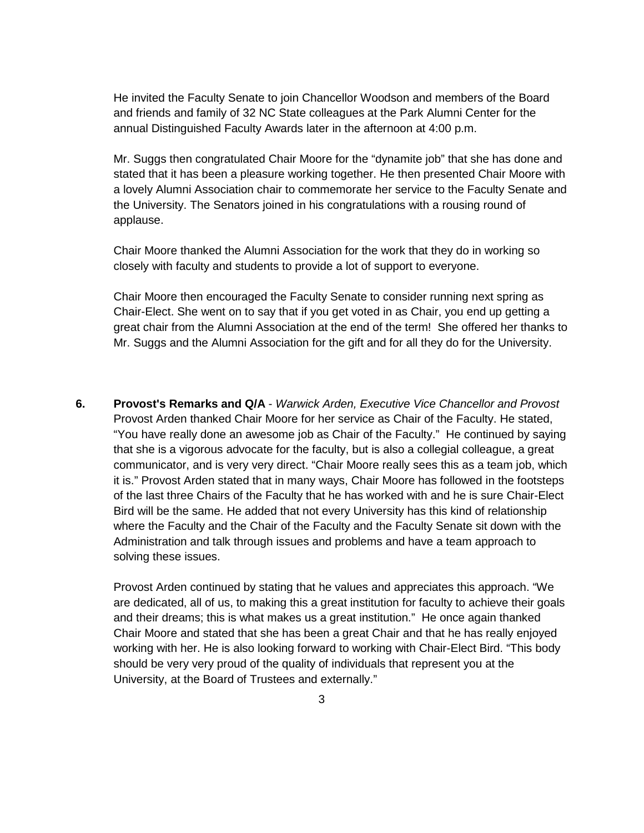He invited the Faculty Senate to join Chancellor Woodson and members of the Board and friends and family of 32 NC State colleagues at the Park Alumni Center for the annual Distinguished Faculty Awards later in the afternoon at 4:00 p.m.

Mr. Suggs then congratulated Chair Moore for the "dynamite job" that she has done and stated that it has been a pleasure working together. He then presented Chair Moore with a lovely Alumni Association chair to commemorate her service to the Faculty Senate and the University. The Senators joined in his congratulations with a rousing round of applause.

Chair Moore thanked the Alumni Association for the work that they do in working so closely with faculty and students to provide a lot of support to everyone.

Chair Moore then encouraged the Faculty Senate to consider running next spring as Chair-Elect. She went on to say that if you get voted in as Chair, you end up getting a great chair from the Alumni Association at the end of the term! She offered her thanks to Mr. Suggs and the Alumni Association for the gift and for all they do for the University.

**6. Provost's Remarks and Q/A** - *Warwick Arden, Executive Vice Chancellor and Provost* Provost Arden thanked Chair Moore for her service as Chair of the Faculty. He stated, "You have really done an awesome job as Chair of the Faculty." He continued by saying that she is a vigorous advocate for the faculty, but is also a collegial colleague, a great communicator, and is very very direct. "Chair Moore really sees this as a team job, which it is." Provost Arden stated that in many ways, Chair Moore has followed in the footsteps of the last three Chairs of the Faculty that he has worked with and he is sure Chair-Elect Bird will be the same. He added that not every University has this kind of relationship where the Faculty and the Chair of the Faculty and the Faculty Senate sit down with the Administration and talk through issues and problems and have a team approach to solving these issues.

Provost Arden continued by stating that he values and appreciates this approach. "We are dedicated, all of us, to making this a great institution for faculty to achieve their goals and their dreams; this is what makes us a great institution." He once again thanked Chair Moore and stated that she has been a great Chair and that he has really enjoyed working with her. He is also looking forward to working with Chair-Elect Bird. "This body should be very very proud of the quality of individuals that represent you at the University, at the Board of Trustees and externally."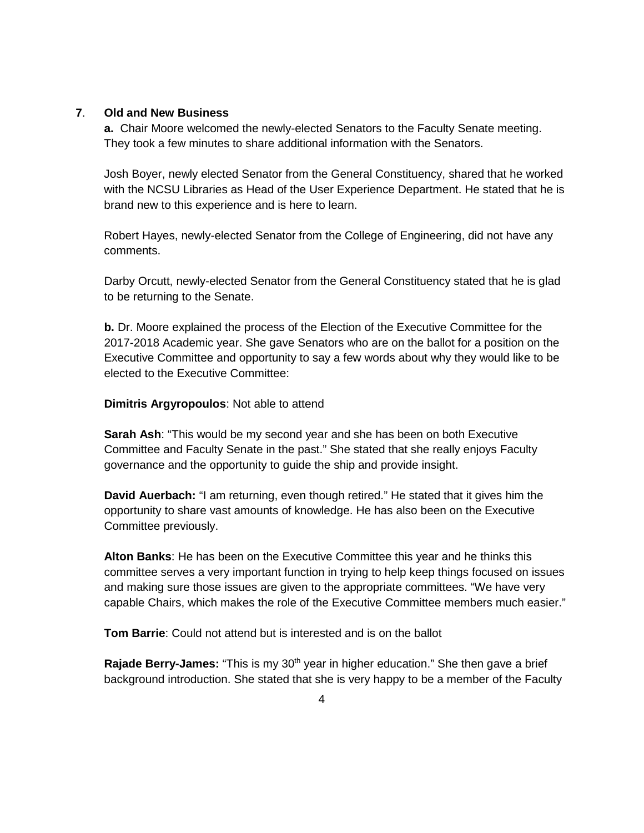#### **7**. **Old and New Business**

**a.** Chair Moore welcomed the newly-elected Senators to the Faculty Senate meeting. They took a few minutes to share additional information with the Senators.

Josh Boyer, newly elected Senator from the General Constituency, shared that he worked with the NCSU Libraries as Head of the User Experience Department. He stated that he is brand new to this experience and is here to learn.

Robert Hayes, newly-elected Senator from the College of Engineering, did not have any comments.

Darby Orcutt, newly-elected Senator from the General Constituency stated that he is glad to be returning to the Senate.

**b.** Dr. Moore explained the process of the Election of the Executive Committee for the 2017-2018 Academic year. She gave Senators who are on the ballot for a position on the Executive Committee and opportunity to say a few words about why they would like to be elected to the Executive Committee:

**Dimitris Argyropoulos**: Not able to attend

**Sarah Ash**: "This would be my second year and she has been on both Executive Committee and Faculty Senate in the past." She stated that she really enjoys Faculty governance and the opportunity to guide the ship and provide insight.

**David Auerbach:** "I am returning, even though retired." He stated that it gives him the opportunity to share vast amounts of knowledge. He has also been on the Executive Committee previously.

**Alton Banks**: He has been on the Executive Committee this year and he thinks this committee serves a very important function in trying to help keep things focused on issues and making sure those issues are given to the appropriate committees. "We have very capable Chairs, which makes the role of the Executive Committee members much easier."

**Tom Barrie**: Could not attend but is interested and is on the ballot

**Rajade Berry-James:** "This is my 30<sup>th</sup> year in higher education." She then gave a brief background introduction. She stated that she is very happy to be a member of the Faculty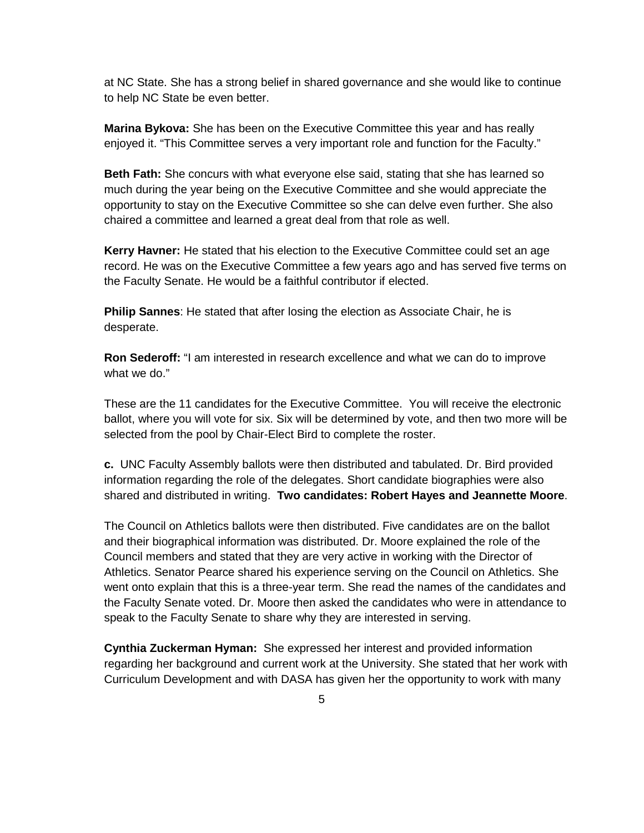at NC State. She has a strong belief in shared governance and she would like to continue to help NC State be even better.

**Marina Bykova:** She has been on the Executive Committee this year and has really enjoyed it. "This Committee serves a very important role and function for the Faculty."

**Beth Fath:** She concurs with what everyone else said, stating that she has learned so much during the year being on the Executive Committee and she would appreciate the opportunity to stay on the Executive Committee so she can delve even further. She also chaired a committee and learned a great deal from that role as well.

**Kerry Havner:** He stated that his election to the Executive Committee could set an age record. He was on the Executive Committee a few years ago and has served five terms on the Faculty Senate. He would be a faithful contributor if elected.

**Philip Sannes**: He stated that after losing the election as Associate Chair, he is desperate.

**Ron Sederoff:** "I am interested in research excellence and what we can do to improve what we do."

These are the 11 candidates for the Executive Committee. You will receive the electronic ballot, where you will vote for six. Six will be determined by vote, and then two more will be selected from the pool by Chair-Elect Bird to complete the roster.

**c.** UNC Faculty Assembly ballots were then distributed and tabulated. Dr. Bird provided information regarding the role of the delegates. Short candidate biographies were also shared and distributed in writing. **Two candidates: Robert Hayes and Jeannette Moore**.

The Council on Athletics ballots were then distributed. Five candidates are on the ballot and their biographical information was distributed. Dr. Moore explained the role of the Council members and stated that they are very active in working with the Director of Athletics. Senator Pearce shared his experience serving on the Council on Athletics. She went onto explain that this is a three-year term. She read the names of the candidates and the Faculty Senate voted. Dr. Moore then asked the candidates who were in attendance to speak to the Faculty Senate to share why they are interested in serving.

**Cynthia Zuckerman Hyman:** She expressed her interest and provided information regarding her background and current work at the University. She stated that her work with Curriculum Development and with DASA has given her the opportunity to work with many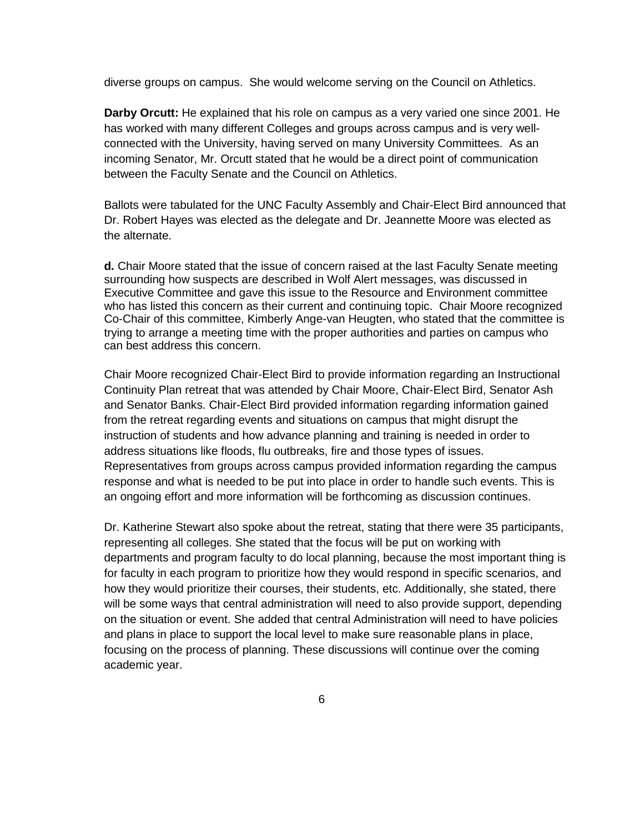diverse groups on campus. She would welcome serving on the Council on Athletics.

**Darby Orcutt:** He explained that his role on campus as a very varied one since 2001. He has worked with many different Colleges and groups across campus and is very wellconnected with the University, having served on many University Committees. As an incoming Senator, Mr. Orcutt stated that he would be a direct point of communication between the Faculty Senate and the Council on Athletics.

Ballots were tabulated for the UNC Faculty Assembly and Chair-Elect Bird announced that Dr. Robert Hayes was elected as the delegate and Dr. Jeannette Moore was elected as the alternate.

**d.** Chair Moore stated that the issue of concern raised at the last Faculty Senate meeting surrounding how suspects are described in Wolf Alert messages, was discussed in Executive Committee and gave this issue to the Resource and Environment committee who has listed this concern as their current and continuing topic. Chair Moore recognized Co-Chair of this committee, Kimberly Ange-van Heugten, who stated that the committee is trying to arrange a meeting time with the proper authorities and parties on campus who can best address this concern.

Chair Moore recognized Chair-Elect Bird to provide information regarding an Instructional Continuity Plan retreat that was attended by Chair Moore, Chair-Elect Bird, Senator Ash and Senator Banks. Chair-Elect Bird provided information regarding information gained from the retreat regarding events and situations on campus that might disrupt the instruction of students and how advance planning and training is needed in order to address situations like floods, flu outbreaks, fire and those types of issues. Representatives from groups across campus provided information regarding the campus response and what is needed to be put into place in order to handle such events. This is an ongoing effort and more information will be forthcoming as discussion continues.

Dr. Katherine Stewart also spoke about the retreat, stating that there were 35 participants, representing all colleges. She stated that the focus will be put on working with departments and program faculty to do local planning, because the most important thing is for faculty in each program to prioritize how they would respond in specific scenarios, and how they would prioritize their courses, their students, etc. Additionally, she stated, there will be some ways that central administration will need to also provide support, depending on the situation or event. She added that central Administration will need to have policies and plans in place to support the local level to make sure reasonable plans in place, focusing on the process of planning. These discussions will continue over the coming academic year.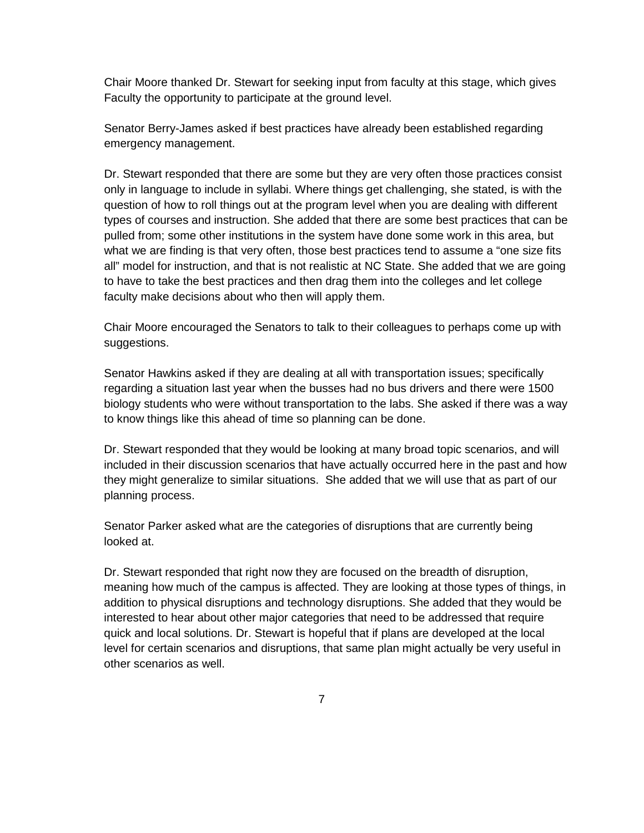Chair Moore thanked Dr. Stewart for seeking input from faculty at this stage, which gives Faculty the opportunity to participate at the ground level.

Senator Berry-James asked if best practices have already been established regarding emergency management.

Dr. Stewart responded that there are some but they are very often those practices consist only in language to include in syllabi. Where things get challenging, she stated, is with the question of how to roll things out at the program level when you are dealing with different types of courses and instruction. She added that there are some best practices that can be pulled from; some other institutions in the system have done some work in this area, but what we are finding is that very often, those best practices tend to assume a "one size fits all" model for instruction, and that is not realistic at NC State. She added that we are going to have to take the best practices and then drag them into the colleges and let college faculty make decisions about who then will apply them.

Chair Moore encouraged the Senators to talk to their colleagues to perhaps come up with suggestions.

Senator Hawkins asked if they are dealing at all with transportation issues; specifically regarding a situation last year when the busses had no bus drivers and there were 1500 biology students who were without transportation to the labs. She asked if there was a way to know things like this ahead of time so planning can be done.

Dr. Stewart responded that they would be looking at many broad topic scenarios, and will included in their discussion scenarios that have actually occurred here in the past and how they might generalize to similar situations. She added that we will use that as part of our planning process.

Senator Parker asked what are the categories of disruptions that are currently being looked at.

Dr. Stewart responded that right now they are focused on the breadth of disruption, meaning how much of the campus is affected. They are looking at those types of things, in addition to physical disruptions and technology disruptions. She added that they would be interested to hear about other major categories that need to be addressed that require quick and local solutions. Dr. Stewart is hopeful that if plans are developed at the local level for certain scenarios and disruptions, that same plan might actually be very useful in other scenarios as well.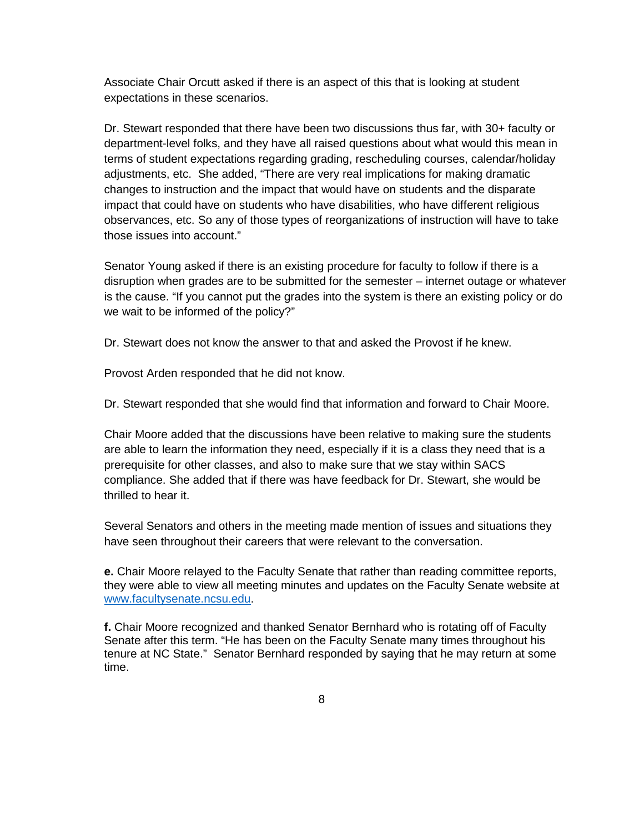Associate Chair Orcutt asked if there is an aspect of this that is looking at student expectations in these scenarios.

Dr. Stewart responded that there have been two discussions thus far, with 30+ faculty or department-level folks, and they have all raised questions about what would this mean in terms of student expectations regarding grading, rescheduling courses, calendar/holiday adjustments, etc. She added, "There are very real implications for making dramatic changes to instruction and the impact that would have on students and the disparate impact that could have on students who have disabilities, who have different religious observances, etc. So any of those types of reorganizations of instruction will have to take those issues into account."

Senator Young asked if there is an existing procedure for faculty to follow if there is a disruption when grades are to be submitted for the semester – internet outage or whatever is the cause. "If you cannot put the grades into the system is there an existing policy or do we wait to be informed of the policy?"

Dr. Stewart does not know the answer to that and asked the Provost if he knew.

Provost Arden responded that he did not know.

Dr. Stewart responded that she would find that information and forward to Chair Moore.

Chair Moore added that the discussions have been relative to making sure the students are able to learn the information they need, especially if it is a class they need that is a prerequisite for other classes, and also to make sure that we stay within SACS compliance. She added that if there was have feedback for Dr. Stewart, she would be thrilled to hear it.

Several Senators and others in the meeting made mention of issues and situations they have seen throughout their careers that were relevant to the conversation.

**e.** Chair Moore relayed to the Faculty Senate that rather than reading committee reports, they were able to view all meeting minutes and updates on the Faculty Senate website at [www.facultysenate.ncsu.edu.](http://www.facultysenate.ncsu.edu/)

f. Chair Moore recognized and thanked Senator Bernhard who is rotating off of Faculty Senate after this term. "He has been on the Faculty Senate many times throughout his tenure at NC State." Senator Bernhard responded by saying that he may return at some time.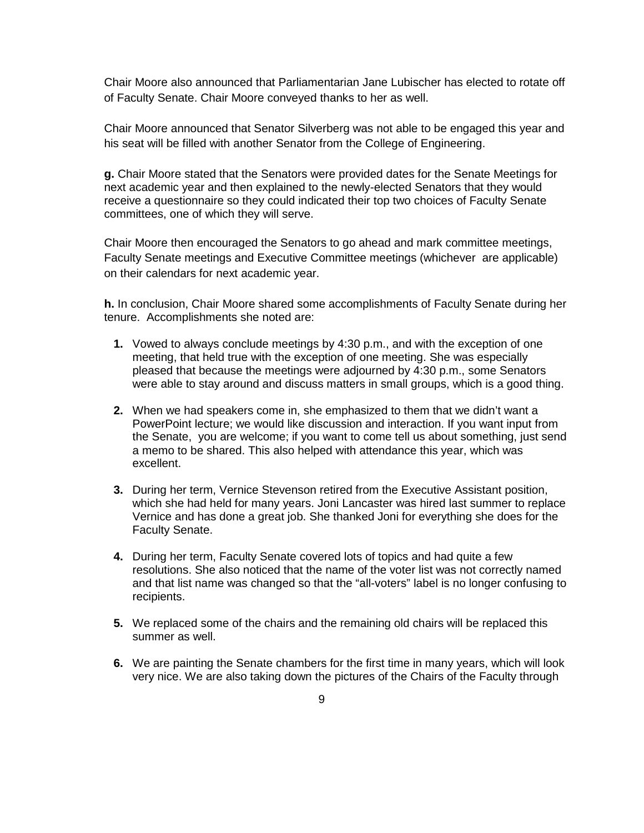Chair Moore also announced that Parliamentarian Jane Lubischer has elected to rotate off of Faculty Senate. Chair Moore conveyed thanks to her as well.

Chair Moore announced that Senator Silverberg was not able to be engaged this year and his seat will be filled with another Senator from the College of Engineering.

**g.** Chair Moore stated that the Senators were provided dates for the Senate Meetings for next academic year and then explained to the newly-elected Senators that they would receive a questionnaire so they could indicated their top two choices of Faculty Senate committees, one of which they will serve.

Chair Moore then encouraged the Senators to go ahead and mark committee meetings, Faculty Senate meetings and Executive Committee meetings (whichever are applicable) on their calendars for next academic year.

**h.** In conclusion, Chair Moore shared some accomplishments of Faculty Senate during her tenure. Accomplishments she noted are:

- **1.** Vowed to always conclude meetings by 4:30 p.m., and with the exception of one meeting, that held true with the exception of one meeting. She was especially pleased that because the meetings were adjourned by 4:30 p.m., some Senators were able to stay around and discuss matters in small groups, which is a good thing.
- **2.** When we had speakers come in, she emphasized to them that we didn't want a PowerPoint lecture; we would like discussion and interaction. If you want input from the Senate, you are welcome; if you want to come tell us about something, just send a memo to be shared. This also helped with attendance this year, which was excellent.
- **3.** During her term, Vernice Stevenson retired from the Executive Assistant position, which she had held for many years. Joni Lancaster was hired last summer to replace Vernice and has done a great job. She thanked Joni for everything she does for the Faculty Senate.
- **4.** During her term, Faculty Senate covered lots of topics and had quite a few resolutions. She also noticed that the name of the voter list was not correctly named and that list name was changed so that the "all-voters" label is no longer confusing to recipients.
- **5.** We replaced some of the chairs and the remaining old chairs will be replaced this summer as well.
- **6.** We are painting the Senate chambers for the first time in many years, which will look very nice. We are also taking down the pictures of the Chairs of the Faculty through